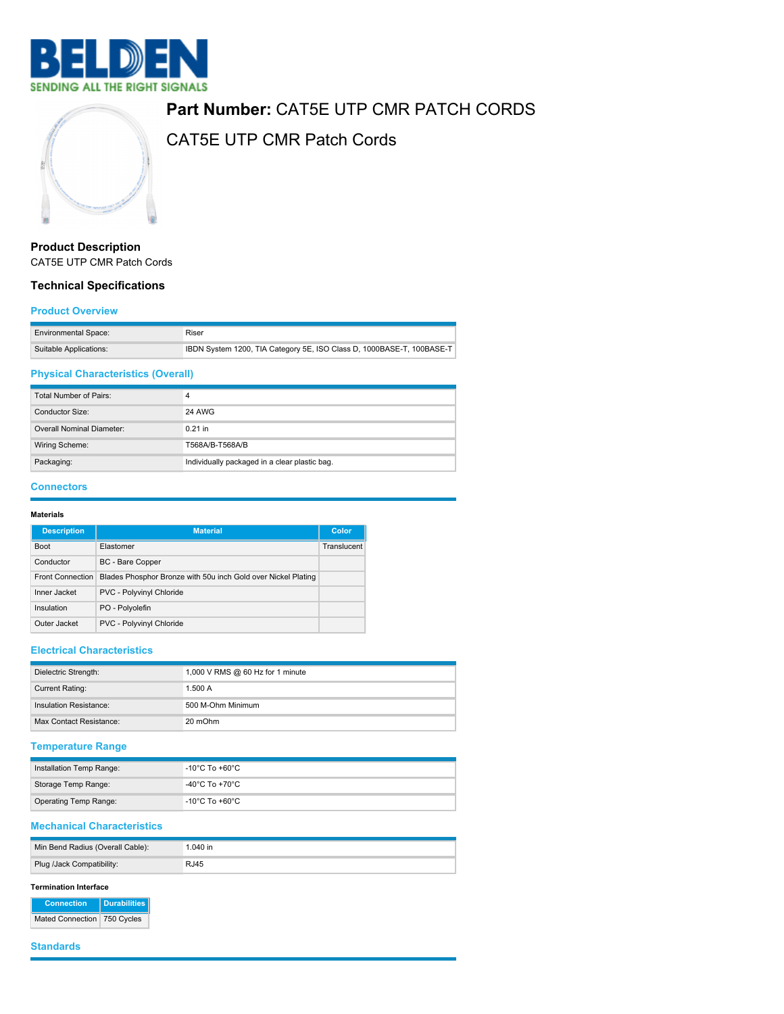

# **Part Number:** CAT5E UTP CMR PATCH CORDS



CAT5E UTP CMR Patch Cords

# **Product Description** CAT5E UTP CMR Patch Cords

## **Technical Specifications**

#### **Product Overview**

| <b>Environmental Space:</b> | Riser                                                                 |
|-----------------------------|-----------------------------------------------------------------------|
| Suitable Applications:      | IBDN System 1200, TIA Category 5E, ISO Class D, 1000BASE-T, 100BASE-T |

# **Physical Characteristics (Overall)**

| Total Number of Pairs:    | Δ                                             |
|---------------------------|-----------------------------------------------|
| Conductor Size:           | 24 AWG                                        |
| Overall Nominal Diameter: | $0.21$ in                                     |
| Wiring Scheme:            | T568A/B-T568A/B                               |
| Packaging:                | Individually packaged in a clear plastic bag. |

## **Connectors**

#### **Materials**

| <b>Description</b>      | <b>Material</b>                                               | Color       |
|-------------------------|---------------------------------------------------------------|-------------|
| <b>Boot</b>             | Elastomer                                                     | Translucent |
| Conductor               | BC - Bare Copper                                              |             |
| <b>Front Connection</b> | Blades Phosphor Bronze with 50u inch Gold over Nickel Plating |             |
| Inner Jacket            | PVC - Polyvinyl Chloride                                      |             |
| Insulation              | PO - Polyolefin                                               |             |
| Outer Jacket            | PVC - Polyvinyl Chloride                                      |             |

## **Electrical Characteristics**

| Dielectric Strength:    | 1,000 V RMS @ 60 Hz for 1 minute |
|-------------------------|----------------------------------|
| <b>Current Rating:</b>  | 1.500A                           |
| Insulation Resistance:  | 500 M-Ohm Minimum                |
| Max Contact Resistance: | 20 mOhm                          |

# **Temperature Range**

| Installation Temp Range: | $^{\circ}$ -10 $^{\circ}$ C To +60 $^{\circ}$ C $^{\circ}$ |
|--------------------------|------------------------------------------------------------|
| Storage Temp Range:      | -40°C To +70°C                                             |
| Operating Temp Range:    | $^{\circ}$ -10 $^{\circ}$ C To +60 $^{\circ}$ C $^{\circ}$ |

## **Mechanical Characteristics**

| Min Bend Radius (Overall Cable): | 1.040 in |
|----------------------------------|----------|
| Plug /Jack Compatibility:        | R.J45    |

#### **Termination Interface**

**Connection Durabilities** Mated Connection 750 Cycles

#### **Standards**